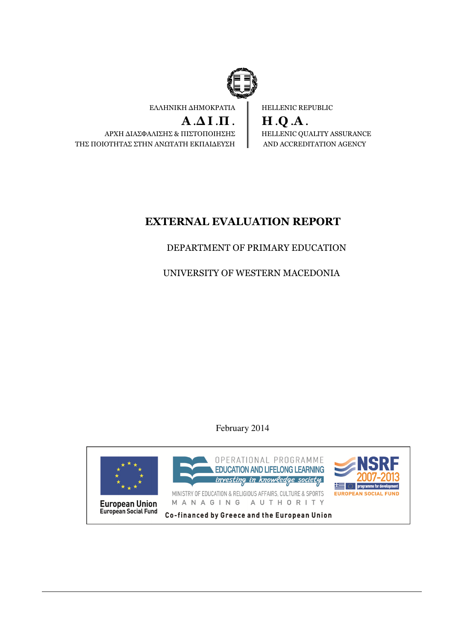

ΕΛΛΗΝΙΚΗ ∆ΗΜΟΚΡΑΤΙΑ

 $A.\Delta I.\Pi$ . ΑΡΧΗ ∆ΙΑΣΦΑΛΙΣΗΣ & ΠΙΣΤΟΠΟΙΗΣΗΣ ΤΗΣ ΠΟΙΟΤΗΤΑΣ ΣΤΗΝ ΑΝΩΤΑΤΗ ΕΚΠΑΙ∆ΕΥΣΗ HELLENIC REPUBLIC

H .Q .A . HELLENIC QUALITY ASSURANCE AND ACCREDITATION AGENCY

# EXTERNAL EVALUATION REPORT

# DEPARTMENT OF PRIMARY EDUCATION

UNIVERSITY OF WESTERN MACEDONIA

February 2014

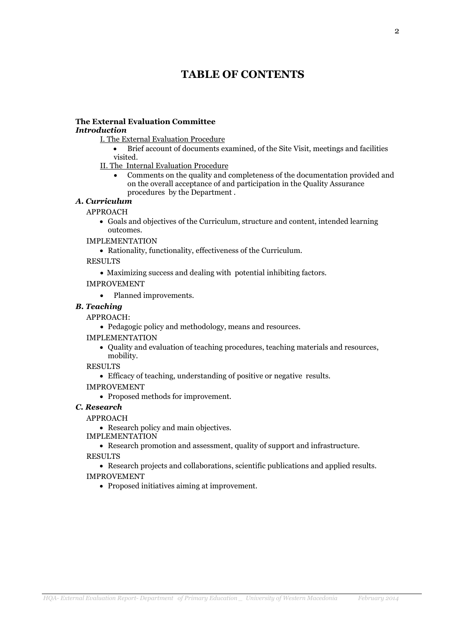# TABLE OF CONTENTS

# The External Evaluation Committee

### Introduction

I. The External Evaluation Procedure

• Brief account of documents examined, of the Site Visit, meetings and facilities visited.

- II. The Internal Evaluation Procedure
	- Comments on the quality and completeness of the documentation provided and on the overall acceptance of and participation in the Quality Assurance procedures by the Department .

### Α. Curriculum

#### APPROACH

- Goals and objectives of the Curriculum, structure and content, intended learning outcomes.
- IMPLEMENTATION
	- Rationality, functionality, effectiveness of the Curriculum.

RESULTS

- Maximizing success and dealing with potential inhibiting factors.
- IMPROVEMENT
	- Planned improvements.

#### B. Teaching

APPROACH:

• Pedagogic policy and methodology, means and resources.

IMPLEMENTATION

- Quality and evaluation of teaching procedures, teaching materials and resources, mobility.
- RESULTS
	- Efficacy of teaching, understanding of positive or negative results.

IMPROVEMENT

• Proposed methods for improvement.

#### C. Research

#### APPROACH

• Research policy and main objectives.

IMPLEMENTATION

• Research promotion and assessment, quality of support and infrastructure.

RESULTS

• Research projects and collaborations, scientific publications and applied results. IMPROVEMENT

• Proposed initiatives aiming at improvement.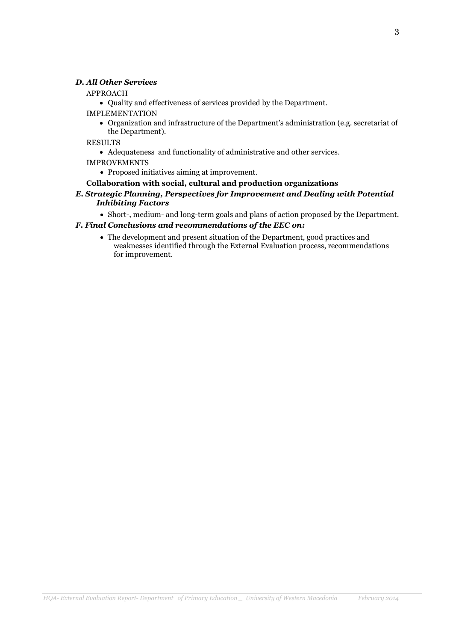#### D. All Other Services

#### APPROACH

• Quality and effectiveness of services provided by the Department.

- IMPLEMENTATION
	- Organization and infrastructure of the Department's administration (e.g. secretariat of the Department).

RESULTS

- Adequateness and functionality of administrative and other services.
- IMPROVEMENTS
	- Proposed initiatives aiming at improvement.

#### Collaboration with social, cultural and production organizations

- E. Strategic Planning, Perspectives for Improvement and Dealing with Potential Inhibiting Factors
	- Short-, medium- and long-term goals and plans of action proposed by the Department.

#### F. Final Conclusions and recommendations of the EEC on:

• The development and present situation of the Department, good practices and weaknesses identified through the External Evaluation process, recommendations for improvement.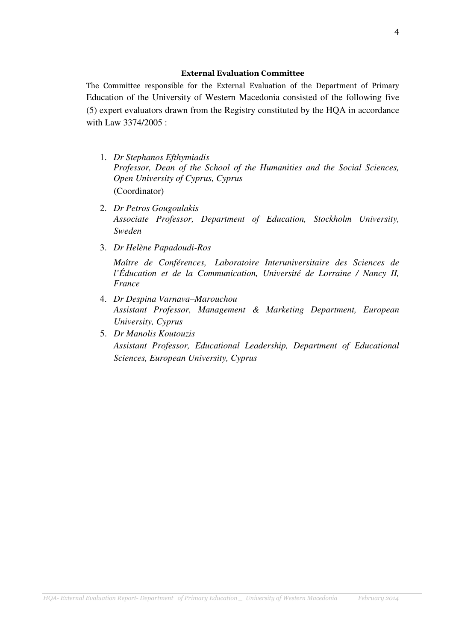#### External Evaluation Committee

The Committee responsible for the External Evaluation of the Department of Primary Education of the University of Western Macedonia consisted of the following five (5) expert evaluators drawn from the Registry constituted by the HQA in accordance with Law 3374/2005 :

- 1. *Dr Stephanos Efthymiadis Professor, Dean of the School of the Humanities and the Social Sciences, Open University of Cyprus, Cyprus*  (Coordinator)
- 2. *Dr Petros Gougoulakis Associate Professor, Department of Education, Stockholm University, Sweden*
- 3. *Dr Helène Papadoudi-Ros*

*Maître de Conférences, Laboratoire Interuniversitaire des Sciences de l'Éducation et de la Communication, Université de Lorraine / Nancy II, France* 

- 4. *Dr Despina Varnava–Marouchou Assistant Professor, Management &* Μ*arketing Department, European University, Cyprus*
- 5. *Dr Manolis Koutouzis Assistant Professor, Educational Leadership, Department of Educational Sciences, European University, Cyprus*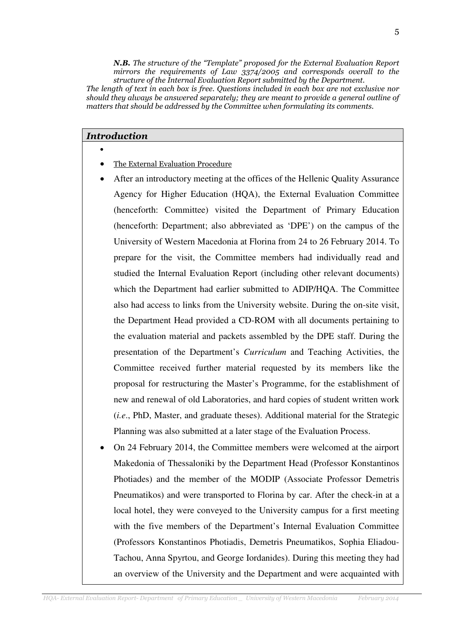N.B. The structure of the "Template" proposed for the External Evaluation Report mirrors the requirements of Law  $3374/2005$  and corresponds overall to the structure of the Internal Evaluation Report submitted by the Department.

The length of text in each box is free. Questions included in each box are not exclusive nor should they always be answered separately; they are meant to provide a general outline of matters that should be addressed by the Committee when formulating its comments.

#### Introduction

- - The External Evaluation Procedure
- After an introductory meeting at the offices of the Hellenic Quality Assurance Agency for Higher Education (HQA), the External Evaluation Committee (henceforth: Committee) visited the Department of Primary Education (henceforth: Department; also abbreviated as 'DPE') on the campus of the University of Western Macedonia at Florina from 24 to 26 February 2014. To prepare for the visit, the Committee members had individually read and studied the Internal Evaluation Report (including other relevant documents) which the Department had earlier submitted to ADIP/HQA. The Committee also had access to links from the University website. During the on-site visit, the Department Head provided a CD-ROM with all documents pertaining to the evaluation material and packets assembled by the DPE staff. During the presentation of the Department's *Curriculum* and Teaching Activities, the Committee received further material requested by its members like the proposal for restructuring the Master's Programme, for the establishment of new and renewal of old Laboratories, and hard copies of student written work (*i.e*., PhD, Master, and graduate theses). Additional material for the Strategic Planning was also submitted at a later stage of the Evaluation Process.
- On 24 February 2014, the Committee members were welcomed at the airport Makedonia of Thessaloniki by the Department Head (Professor Konstantinos Photiades) and the member of the MODIP (Associate Professor Demetris Pneumatikos) and were transported to Florina by car. After the check-in at a local hotel, they were conveyed to the University campus for a first meeting with the five members of the Department's Internal Evaluation Committee (Professors Konstantinos Photiadis, Demetris Pneumatikos, Sophia Eliadou-Tachou, Anna Spyrtou, and George Iordanides). During this meeting they had an overview of the University and the Department and were acquainted with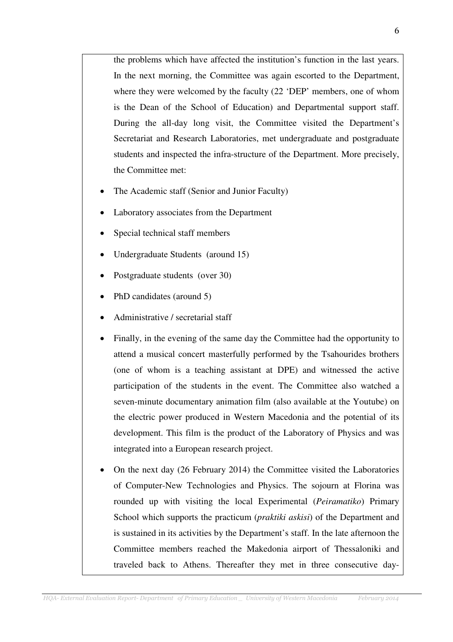the problems which have affected the institution's function in the last years. In the next morning, the Committee was again escorted to the Department, where they were welcomed by the faculty (22 'DEP' members, one of whom is the Dean of the School of Education) and Departmental support staff. During the all-day long visit, the Committee visited the Department's Secretariat and Research Laboratories, met undergraduate and postgraduate students and inspected the infra-structure of the Department. More precisely, the Committee met:

- The Academic staff (Senior and Junior Faculty)
- Laboratory associates from the Department
- Special technical staff members
- Undergraduate Students (around 15)
- Postgraduate students (over 30)
- PhD candidates (around 5)
- Administrative / secretarial staff
- Finally, in the evening of the same day the Committee had the opportunity to attend a musical concert masterfully performed by the Tsahourides brothers (one of whom is a teaching assistant at DPE) and witnessed the active participation of the students in the event. The Committee also watched a seven-minute documentary animation film (also available at the Youtube) on the electric power produced in Western Macedonia and the potential of its development. This film is the product of the Laboratory of Physics and was integrated into a European research project.
- On the next day (26 February 2014) the Committee visited the Laboratories of Computer-New Technologies and Physics. The sojourn at Florina was rounded up with visiting the local Experimental (*Peiramatiko*) Primary School which supports the practicum (*praktiki askisi*) of the Department and is sustained in its activities by the Department's staff. In the late afternoon the Committee members reached the Makedonia airport of Thessaloniki and traveled back to Athens. Thereafter they met in three consecutive day-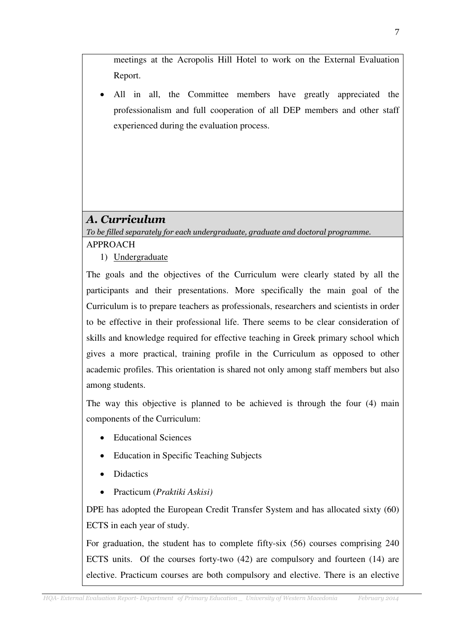meetings at the Acropolis Hill Hotel to work on the External Evaluation Report.

All in all, the Committee members have greatly appreciated the professionalism and full cooperation of all DEP members and other staff experienced during the evaluation process.

# Α. Curriculum

To be filled separately for each undergraduate, graduate and doctoral programme. APPROACH

1) Undergraduate

The goals and the objectives of the Curriculum were clearly stated by all the participants and their presentations. More specifically the main goal of the Curriculum is to prepare teachers as professionals, researchers and scientists in order to be effective in their professional life. There seems to be clear consideration of skills and knowledge required for effective teaching in Greek primary school which gives a more practical, training profile in the Curriculum as opposed to other academic profiles. This orientation is shared not only among staff members but also among students.

The way this objective is planned to be achieved is through the four (4) main components of the Curriculum:

- Educational Sciences
- Education in Specific Teaching Subjects
- Didactics
- Practicum (*Praktiki Askisi)*

DPE has adopted the European Credit Transfer System and has allocated sixty (60) ECTS in each year of study.

For graduation, the student has to complete fifty-six (56) courses comprising 240 ECTS units. Of the courses forty-two (42) are compulsory and fourteen (14) are elective. Practicum courses are both compulsory and elective. There is an elective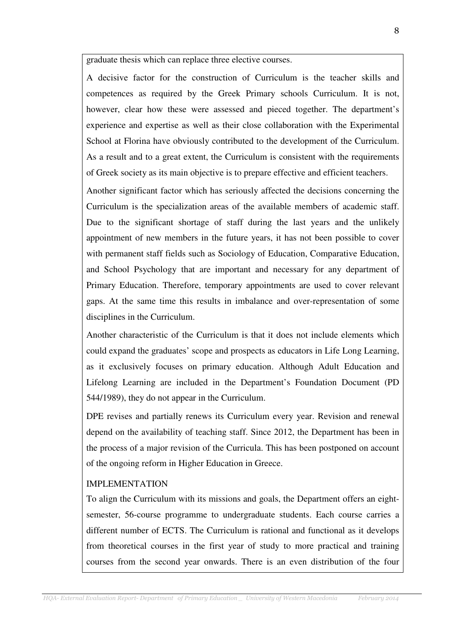graduate thesis which can replace three elective courses.

A decisive factor for the construction of Curriculum is the teacher skills and competences as required by the Greek Primary schools Curriculum. It is not, however, clear how these were assessed and pieced together. The department's experience and expertise as well as their close collaboration with the Experimental School at Florina have obviously contributed to the development of the Curriculum. As a result and to a great extent, the Curriculum is consistent with the requirements of Greek society as its main objective is to prepare effective and efficient teachers.

Another significant factor which has seriously affected the decisions concerning the Curriculum is the specialization areas of the available members of academic staff. Due to the significant shortage of staff during the last years and the unlikely appointment of new members in the future years, it has not been possible to cover with permanent staff fields such as Sociology of Education, Comparative Education, and School Psychology that are important and necessary for any department of Primary Education. Therefore, temporary appointments are used to cover relevant gaps. At the same time this results in imbalance and over-representation of some disciplines in the Curriculum.

Another characteristic of the Curriculum is that it does not include elements which could expand the graduates' scope and prospects as educators in Life Long Learning, as it exclusively focuses on primary education. Although Adult Education and Lifelong Learning are included in the Department's Foundation Document (PD 544/1989), they do not appear in the Curriculum.

DPE revises and partially renews its Curriculum every year. Revision and renewal depend on the availability of teaching staff. Since 2012, the Department has been in the process of a major revision of the Curricula. This has been postponed on account of the ongoing reform in Higher Education in Greece.

### IMPLEMENTATION

To align the Curriculum with its missions and goals, the Department offers an eightsemester, 56-course programme to undergraduate students. Each course carries a different number of ECTS. The Curriculum is rational and functional as it develops from theoretical courses in the first year of study to more practical and training courses from the second year onwards. There is an even distribution of the four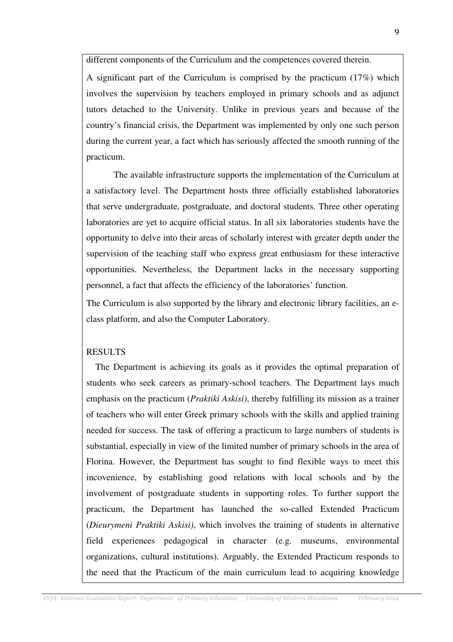different components of the Curriculum and the competences covered therein.

A significant part of the Curriculum is comprised by the practicum (17%) which involves the supervision by teachers employed in primary schools and as adjunct tutors detached to the University. Unlike in previous years and because of the country's financial crisis, the Department was implemented by only one such person during the current year, a fact which has seriously affected the smooth running of the practicum.

 The available infrastructure supports the implementation of the Curriculum at a satisfactory level. The Department hosts three officially established laboratories that serve undergraduate, postgraduate, and doctoral students. Three other operating laboratories are yet to acquire official status. In all six laboratories students have the opportunity to delve into their areas of scholarly interest with greater depth under the supervision of the teaching staff who express great enthusiasm for these interactive opportunities. Nevertheless, the Department lacks in the necessary supporting personnel, a fact that affects the efficiency of the laboratories' function.

The Curriculum is also supported by the library and electronic library facilities, an eclass platform, and also the Computer Laboratory.

### RESULTS

 The Department is achieving its goals as it provides the optimal preparation of students who seek careers as primary-school teachers. The Department lays much emphasis on the practicum (*Praktiki Askisi)*, thereby fulfilling its mission as a trainer of teachers who will enter Greek primary schools with the skills and applied training needed for success. The task of offering a practicum to large numbers of students is substantial, especially in view of the limited number of primary schools in the area of Florina. However, the Department has sought to find flexible ways to meet this incovenience, by establishing good relations with local schools and by the involvement of postgraduate students in supporting roles. To further support the practicum, the Department has launched the so-called Extended Practicum (*Dieurymeni Praktiki Askisi)*, which involves the training of students in alternative field experiences pedagogical in character (e.g. museums, environmental organizations, cultural institutions). Arguably, the Extended Practicum responds to the need that the Practicum of the main curriculum lead to acquiring knowledge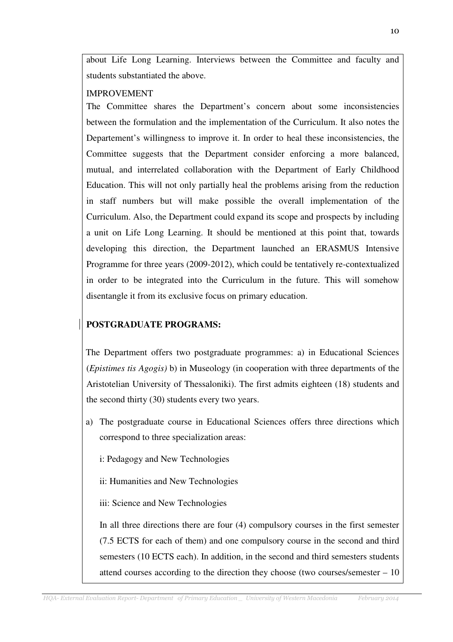about Life Long Learning. Interviews between the Committee and faculty and students substantiated the above.

### IMPROVEMENT

The Committee shares the Department's concern about some inconsistencies between the formulation and the implementation of the Curriculum. It also notes the Departement's willingness to improve it. In order to heal these inconsistencies, the Committee suggests that the Department consider enforcing a more balanced, mutual, and interrelated collaboration with the Department of Early Childhood Education. This will not only partially heal the problems arising from the reduction in staff numbers but will make possible the overall implementation of the Curriculum. Also, the Department could expand its scope and prospects by including a unit on Life Long Learning. It should be mentioned at this point that, towards developing this direction, the Department launched an ERASMUS Intensive Programme for three years (2009-2012), which could be tentatively re-contextualized in order to be integrated into the Curriculum in the future. This will somehow disentangle it from its exclusive focus on primary education.

# **POSTGRADUATE PROGRAMS:**

The Department offers two postgraduate programmes: a) in Educational Sciences (*Epistimes tis Agogis)* b) in Museology (in cooperation with three departments of the Aristotelian University of Thessaloniki). The first admits eighteen (18) students and the second thirty (30) students every two years.

- a) The postgraduate course in Educational Sciences offers three directions which correspond to three specialization areas:
	- i: Pedagogy and New Technologies
	- ii: Humanities and New Technologies
	- iii: Science and New Technologies

In all three directions there are four (4) compulsory courses in the first semester (7.5 ECTS for each of them) and one compulsory course in the second and third semesters (10 ECTS each). In addition, in the second and third semesters students attend courses according to the direction they choose (two courses/semester – 10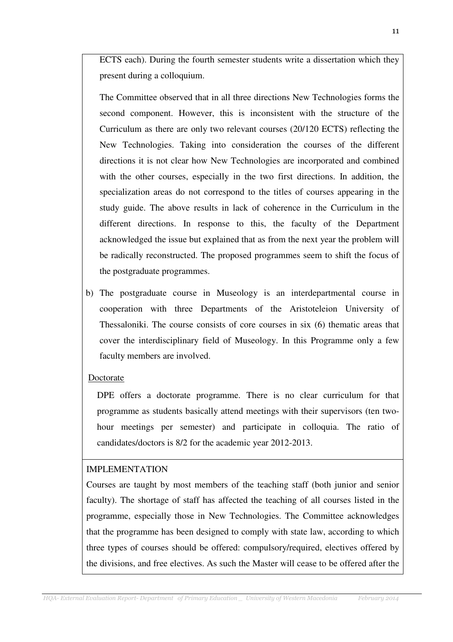ECTS each). During the fourth semester students write a dissertation which they present during a colloquium.

The Committee observed that in all three directions New Technologies forms the second component. However, this is inconsistent with the structure of the Curriculum as there are only two relevant courses (20/120 ECTS) reflecting the New Technologies. Taking into consideration the courses of the different directions it is not clear how New Technologies are incorporated and combined with the other courses, especially in the two first directions. In addition, the specialization areas do not correspond to the titles of courses appearing in the study guide. The above results in lack of coherence in the Curriculum in the different directions. In response to this, the faculty of the Department acknowledged the issue but explained that as from the next year the problem will be radically reconstructed. The proposed programmes seem to shift the focus of the postgraduate programmes.

b) The postgraduate course in Museology is an interdepartmental course in cooperation with three Departments of the Aristoteleion University of Thessaloniki. The course consists of core courses in six (6) thematic areas that cover the interdisciplinary field of Museology. In this Programme only a few faculty members are involved.

### Doctorate

DPE offers a doctorate programme. There is no clear curriculum for that programme as students basically attend meetings with their supervisors (ten twohour meetings per semester) and participate in colloquia. The ratio of candidates/doctors is 8/2 for the academic year 2012-2013.

### IMPLEMENTATION

Courses are taught by most members of the teaching staff (both junior and senior faculty). The shortage of staff has affected the teaching of all courses listed in the programme, especially those in New Technologies. The Committee acknowledges that the programme has been designed to comply with state law, according to which three types of courses should be offered: compulsory/required, electives offered by the divisions, and free electives. As such the Master will cease to be offered after the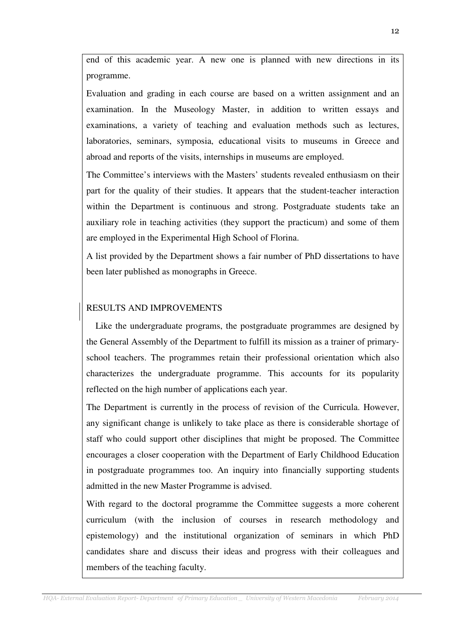end of this academic year. A new one is planned with new directions in its programme.

Evaluation and grading in each course are based on a written assignment and an examination. In the Museology Master, in addition to written essays and examinations, a variety of teaching and evaluation methods such as lectures, laboratories, seminars, symposia, educational visits to museums in Greece and abroad and reports of the visits, internships in museums are employed.

The Committee's interviews with the Masters' students revealed enthusiasm on their part for the quality of their studies. It appears that the student-teacher interaction within the Department is continuous and strong. Postgraduate students take an auxiliary role in teaching activities (they support the practicum) and some of them are employed in the Experimental High School of Florina.

A list provided by the Department shows a fair number of PhD dissertations to have been later published as monographs in Greece.

## RESULTS AND IMPROVEMENTS

 Like the undergraduate programs, the postgraduate programmes are designed by the General Assembly of the Department to fulfill its mission as a trainer of primaryschool teachers. The programmes retain their professional orientation which also characterizes the undergraduate programme. This accounts for its popularity reflected on the high number of applications each year.

The Department is currently in the process of revision of the Curricula. However, any significant change is unlikely to take place as there is considerable shortage of staff who could support other disciplines that might be proposed. The Committee encourages a closer cooperation with the Department of Early Childhood Education in postgraduate programmes too. An inquiry into financially supporting students admitted in the new Master Programme is advised.

With regard to the doctoral programme the Committee suggests a more coherent curriculum (with the inclusion of courses in research methodology and epistemology) and the institutional organization of seminars in which PhD candidates share and discuss their ideas and progress with their colleagues and members of the teaching faculty.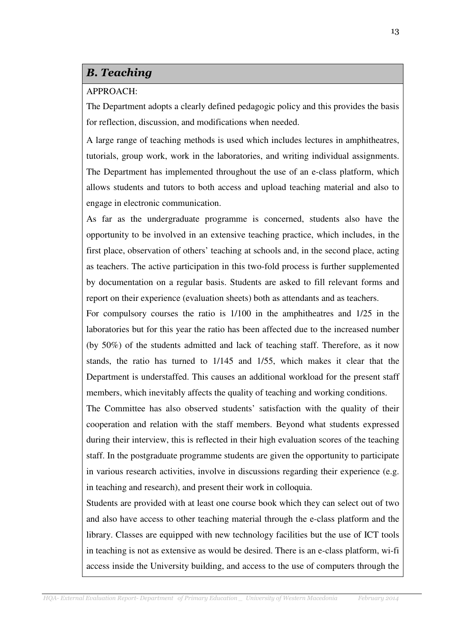# B. Teaching

#### APPROACH:

The Department adopts a clearly defined pedagogic policy and this provides the basis for reflection, discussion, and modifications when needed.

A large range of teaching methods is used which includes lectures in amphitheatres, tutorials, group work, work in the laboratories, and writing individual assignments. The Department has implemented throughout the use of an e-class platform, which allows students and tutors to both access and upload teaching material and also to engage in electronic communication.

As far as the undergraduate programme is concerned, students also have the opportunity to be involved in an extensive teaching practice, which includes, in the first place, observation of others' teaching at schools and, in the second place, acting as teachers. The active participation in this two-fold process is further supplemented by documentation on a regular basis. Students are asked to fill relevant forms and report on their experience (evaluation sheets) both as attendants and as teachers.

For compulsory courses the ratio is 1/100 in the amphitheatres and 1/25 in the laboratories but for this year the ratio has been affected due to the increased number (by 50%) of the students admitted and lack of teaching staff. Therefore, as it now stands, the ratio has turned to 1/145 and 1/55, which makes it clear that the Department is understaffed. This causes an additional workload for the present staff members, which inevitably affects the quality of teaching and working conditions.

The Committee has also observed students' satisfaction with the quality of their cooperation and relation with the staff members. Beyond what students expressed during their interview, this is reflected in their high evaluation scores of the teaching staff. In the postgraduate programme students are given the opportunity to participate in various research activities, involve in discussions regarding their experience (e.g. in teaching and research), and present their work in colloquia.

Students are provided with at least one course book which they can select out of two and also have access to other teaching material through the e-class platform and the library. Classes are equipped with new technology facilities but the use of ICT tools in teaching is not as extensive as would be desired. There is an e-class platform, wi-fi access inside the University building, and access to the use of computers through the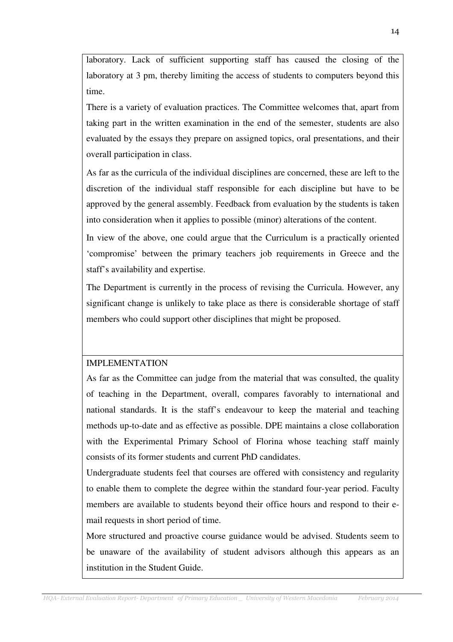laboratory. Lack of sufficient supporting staff has caused the closing of the laboratory at 3 pm, thereby limiting the access of students to computers beyond this time.

There is a variety of evaluation practices. The Committee welcomes that, apart from taking part in the written examination in the end of the semester, students are also evaluated by the essays they prepare on assigned topics, oral presentations, and their overall participation in class.

As far as the curricula of the individual disciplines are concerned, these are left to the discretion of the individual staff responsible for each discipline but have to be approved by the general assembly. Feedback from evaluation by the students is taken into consideration when it applies to possible (minor) alterations of the content.

In view of the above, one could argue that the Curriculum is a practically oriented 'compromise' between the primary teachers job requirements in Greece and the staff's availability and expertise.

The Department is currently in the process of revising the Curricula. However, any significant change is unlikely to take place as there is considerable shortage of staff members who could support other disciplines that might be proposed.

## IMPLEMENTATION

As far as the Committee can judge from the material that was consulted, the quality of teaching in the Department, overall, compares favorably to international and national standards. It is the staff's endeavour to keep the material and teaching methods up-to-date and as effective as possible. DPE maintains a close collaboration with the Experimental Primary School of Florina whose teaching staff mainly consists of its former students and current PhD candidates.

Undergraduate students feel that courses are offered with consistency and regularity to enable them to complete the degree within the standard four-year period. Faculty members are available to students beyond their office hours and respond to their email requests in short period of time.

More structured and proactive course guidance would be advised. Students seem to be unaware of the availability of student advisors although this appears as an institution in the Student Guide.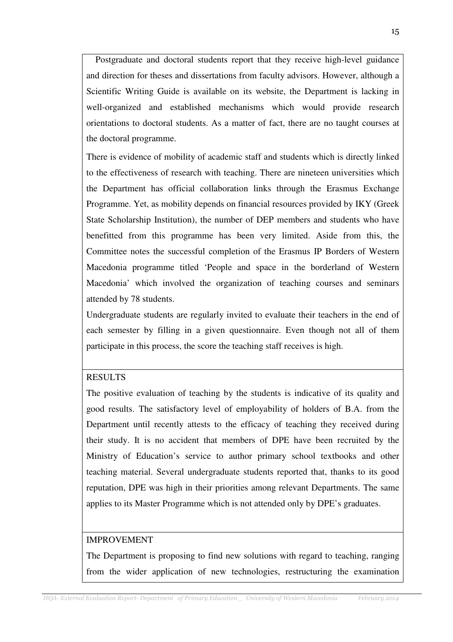Postgraduate and doctoral students report that they receive high-level guidance and direction for theses and dissertations from faculty advisors. However, although a Scientific Writing Guide is available on its website, the Department is lacking in well-organized and established mechanisms which would provide research orientations to doctoral students. As a matter of fact, there are no taught courses at the doctoral programme.

There is evidence of mobility of academic staff and students which is directly linked to the effectiveness of research with teaching. There are nineteen universities which the Department has official collaboration links through the Erasmus Exchange Programme. Yet, as mobility depends on financial resources provided by IKY (Greek State Scholarship Institution), the number of DEP members and students who have benefitted from this programme has been very limited. Aside from this, the Committee notes the successful completion of the Erasmus IP Borders of Western Macedonia programme titled 'People and space in the borderland of Western Macedonia' which involved the organization of teaching courses and seminars attended by 78 students.

Undergraduate students are regularly invited to evaluate their teachers in the end of each semester by filling in a given questionnaire. Even though not all of them participate in this process, the score the teaching staff receives is high.

### RESULTS

The positive evaluation of teaching by the students is indicative of its quality and good results. The satisfactory level of employability of holders of B.A. from the Department until recently attests to the efficacy of teaching they received during their study. It is no accident that members of DPE have been recruited by the Ministry of Education's service to author primary school textbooks and other teaching material. Several undergraduate students reported that, thanks to its good reputation, DPE was high in their priorities among relevant Departments. The same applies to its Master Programme which is not attended only by DPE's graduates.

#### IMPROVEMENT

The Department is proposing to find new solutions with regard to teaching, ranging from the wider application of new technologies, restructuring the examination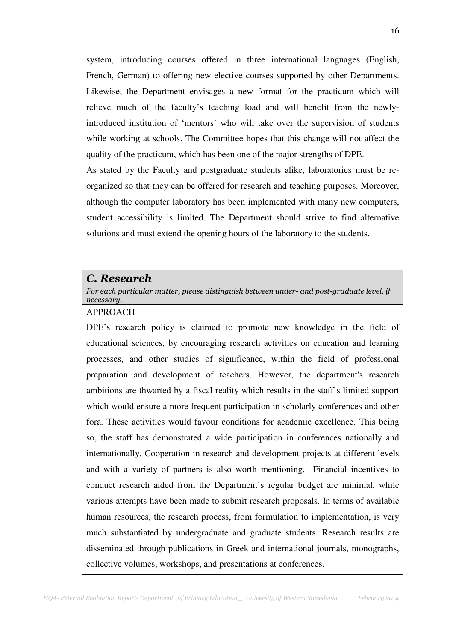system, introducing courses offered in three international languages (English, French, German) to offering new elective courses supported by other Departments. Likewise, the Department envisages a new format for the practicum which will relieve much of the faculty's teaching load and will benefit from the newlyintroduced institution of 'mentors' who will take over the supervision of students while working at schools. The Committee hopes that this change will not affect the quality of the practicum, which has been one of the major strengths of DPE. As stated by the Faculty and postgraduate students alike, laboratories must be reorganized so that they can be offered for research and teaching purposes. Moreover, although the computer laboratory has been implemented with many new computers, student accessibility is limited. The Department should strive to find alternative solutions and must extend the opening hours of the laboratory to the students.

## C. Research

For each particular matter, please distinguish between under- and post-graduate level, if necessary.

### APPROACH

DPE's research policy is claimed to promote new knowledge in the field of educational sciences, by encouraging research activities on education and learning processes, and other studies of significance, within the field of professional preparation and development of teachers. However, the department's research ambitions are thwarted by a fiscal reality which results in the staff's limited support which would ensure a more frequent participation in scholarly conferences and other fora. These activities would favour conditions for academic excellence. This being so, the staff has demonstrated a wide participation in conferences nationally and internationally. Cooperation in research and development projects at different levels and with a variety of partners is also worth mentioning. Financial incentives to conduct research aided from the Department's regular budget are minimal, while various attempts have been made to submit research proposals. In terms of available human resources, the research process, from formulation to implementation, is very much substantiated by undergraduate and graduate students. Research results are disseminated through publications in Greek and international journals, monographs, collective volumes, workshops, and presentations at conferences.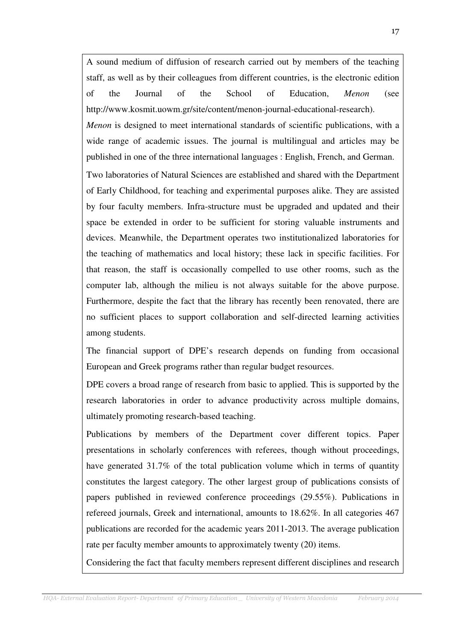A sound medium of diffusion of research carried out by members of the teaching staff, as well as by their colleagues from different countries, is the electronic edition of the Journal of the School of Education, *Menon* (see http://www.kosmit.uowm.gr/site/content/menon-journal-educational-research).

*Menon* is designed to meet international standards of scientific publications, with a wide range of academic issues. The journal is multilingual and articles may be published in one of the three international languages : English, French, and German.

Two laboratories of Natural Sciences are established and shared with the Department of Early Childhood, for teaching and experimental purposes alike. They are assisted by four faculty members. Infra-structure must be upgraded and updated and their space be extended in order to be sufficient for storing valuable instruments and devices. Meanwhile, the Department operates two institutionalized laboratories for the teaching of mathematics and local history; these lack in specific facilities. For that reason, the staff is occasionally compelled to use other rooms, such as the computer lab, although the milieu is not always suitable for the above purpose. Furthermore, despite the fact that the library has recently been renovated, there are no sufficient places to support collaboration and self-directed learning activities among students.

The financial support of DPE's research depends on funding from occasional European and Greek programs rather than regular budget resources.

DPE covers a broad range of research from basic to applied. This is supported by the research laboratories in order to advance productivity across multiple domains, ultimately promoting research-based teaching.

Publications by members of the Department cover different topics. Paper presentations in scholarly conferences with referees, though without proceedings, have generated 31.7% of the total publication volume which in terms of quantity constitutes the largest category. The other largest group of publications consists of papers published in reviewed conference proceedings (29.55%). Publications in refereed journals, Greek and international, amounts to 18.62%. In all categories 467 publications are recorded for the academic years 2011-2013. The average publication rate per faculty member amounts to approximately twenty (20) items.

Considering the fact that faculty members represent different disciplines and research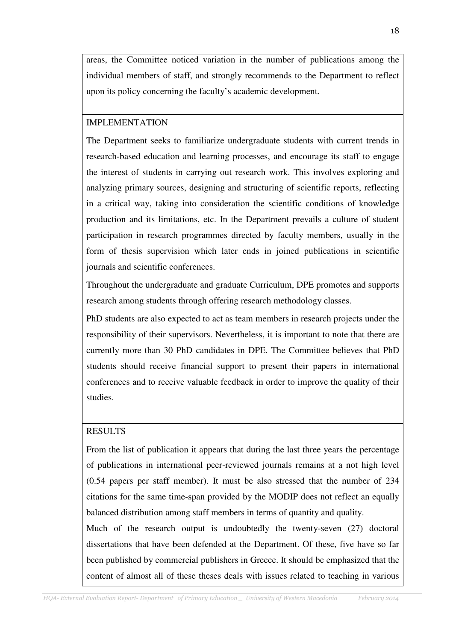areas, the Committee noticed variation in the number of publications among the individual members of staff, and strongly recommends to the Department to reflect upon its policy concerning the faculty's academic development.

### IMPLEMENTATION

The Department seeks to familiarize undergraduate students with current trends in research-based education and learning processes, and encourage its staff to engage the interest of students in carrying out research work. This involves exploring and analyzing primary sources, designing and structuring of scientific reports, reflecting in a critical way, taking into consideration the scientific conditions of knowledge production and its limitations, etc. In the Department prevails a culture of student participation in research programmes directed by faculty members, usually in the form of thesis supervision which later ends in joined publications in scientific journals and scientific conferences.

Throughout the undergraduate and graduate Curriculum, DPE promotes and supports research among students through offering research methodology classes.

PhD students are also expected to act as team members in research projects under the responsibility of their supervisors. Nevertheless, it is important to note that there are currently more than 30 PhD candidates in DPE. The Committee believes that PhD students should receive financial support to present their papers in international conferences and to receive valuable feedback in order to improve the quality of their studies.

## RESULTS

From the list of publication it appears that during the last three years the percentage of publications in international peer-reviewed journals remains at a not high level (0.54 papers per staff member). It must be also stressed that the number of 234 citations for the same time-span provided by the MODIP does not reflect an equally balanced distribution among staff members in terms of quantity and quality.

Much of the research output is undoubtedly the twenty-seven (27) doctoral dissertations that have been defended at the Department. Of these, five have so far been published by commercial publishers in Greece. It should be emphasized that the content of almost all of these theses deals with issues related to teaching in various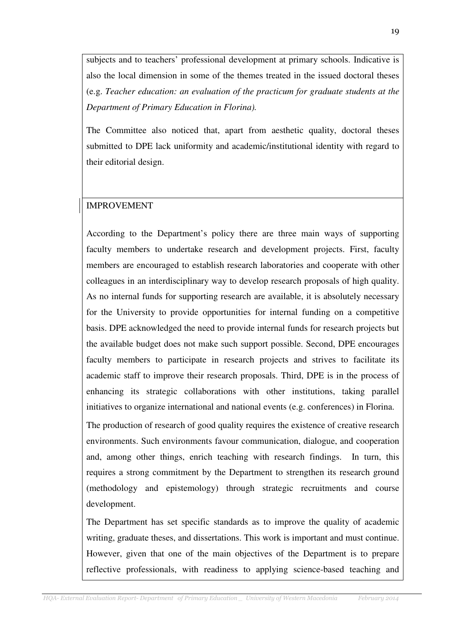subjects and to teachers' professional development at primary schools. Indicative is also the local dimension in some of the themes treated in the issued doctoral theses (e.g. *Teacher education: an evaluation of the practicum for graduate students at the Department of Primary Education in Florina).* 

The Committee also noticed that, apart from aesthetic quality, doctoral theses submitted to DPE lack uniformity and academic/institutional identity with regard to their editorial design.

## IMPROVEMENT

According to the Department's policy there are three main ways of supporting faculty members to undertake research and development projects. First, faculty members are encouraged to establish research laboratories and cooperate with other colleagues in an interdisciplinary way to develop research proposals of high quality. As no internal funds for supporting research are available, it is absolutely necessary for the University to provide opportunities for internal funding on a competitive basis. DPE acknowledged the need to provide internal funds for research projects but the available budget does not make such support possible. Second, DPE encourages faculty members to participate in research projects and strives to facilitate its academic staff to improve their research proposals. Third, DPE is in the process of enhancing its strategic collaborations with other institutions, taking parallel initiatives to organize international and national events (e.g. conferences) in Florina.

The production of research of good quality requires the existence of creative research environments. Such environments favour communication, dialogue, and cooperation and, among other things, enrich teaching with research findings. In turn, this requires a strong commitment by the Department to strengthen its research ground (methodology and epistemology) through strategic recruitments and course development.

The Department has set specific standards as to improve the quality of academic writing, graduate theses, and dissertations. This work is important and must continue. However, given that one of the main objectives of the Department is to prepare reflective professionals, with readiness to applying science-based teaching and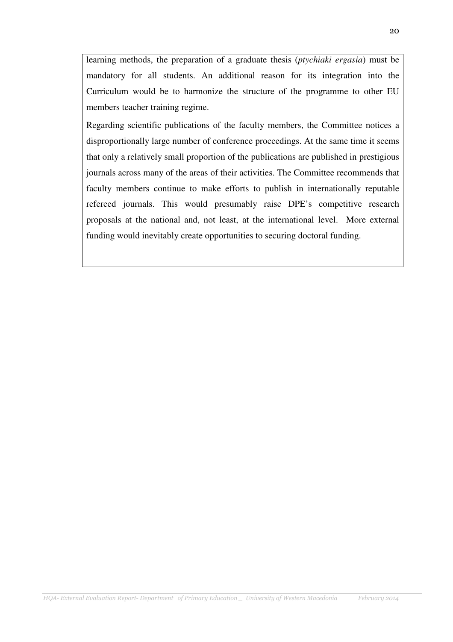learning methods, the preparation of a graduate thesis (*ptychiaki ergasia*) must be mandatory for all students. An additional reason for its integration into the Curriculum would be to harmonize the structure of the programme to other EU members teacher training regime.

Regarding scientific publications of the faculty members, the Committee notices a disproportionally large number of conference proceedings. At the same time it seems that only a relatively small proportion of the publications are published in prestigious journals across many of the areas of their activities. The Committee recommends that faculty members continue to make efforts to publish in internationally reputable refereed journals. This would presumably raise DPE's competitive research proposals at the national and, not least, at the international level. More external funding would inevitably create opportunities to securing doctoral funding.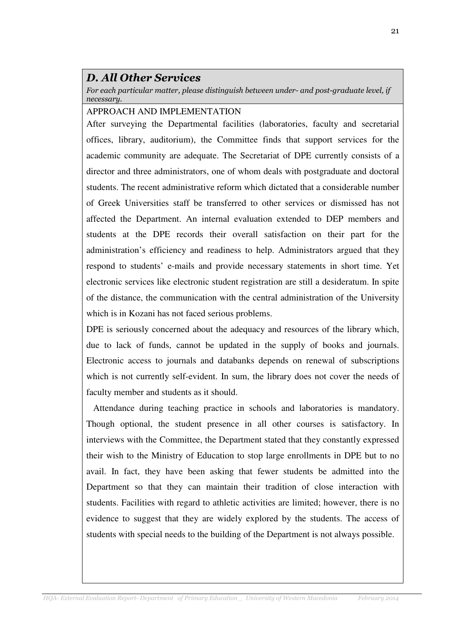# D. All Other Services

For each particular matter, please distinguish between under- and post-graduate level, if necessary.

### APPROACH AND IMPLEMENTATION

After surveying the Departmental facilities (laboratories, faculty and secretarial offices, library, auditorium), the Committee finds that support services for the academic community are adequate. The Secretariat of DPE currently consists of a director and three administrators, one of whom deals with postgraduate and doctoral students. The recent administrative reform which dictated that a considerable number of Greek Universities staff be transferred to other services or dismissed has not affected the Department. An internal evaluation extended to DEP members and students at the DPE records their overall satisfaction on their part for the administration's efficiency and readiness to help. Administrators argued that they respond to students' e-mails and provide necessary statements in short time. Yet electronic services like electronic student registration are still a desideratum. In spite of the distance, the communication with the central administration of the University which is in Kozani has not faced serious problems.

DPE is seriously concerned about the adequacy and resources of the library which, due to lack of funds, cannot be updated in the supply of books and journals. Electronic access to journals and databanks depends on renewal of subscriptions which is not currently self-evident. In sum, the library does not cover the needs of faculty member and students as it should.

 Attendance during teaching practice in schools and laboratories is mandatory. Though optional, the student presence in all other courses is satisfactory. In interviews with the Committee, the Department stated that they constantly expressed their wish to the Ministry of Education to stop large enrollments in DPE but to no avail. In fact, they have been asking that fewer students be admitted into the Department so that they can maintain their tradition of close interaction with students. Facilities with regard to athletic activities are limited; however, there is no evidence to suggest that they are widely explored by the students. The access of students with special needs to the building of the Department is not always possible.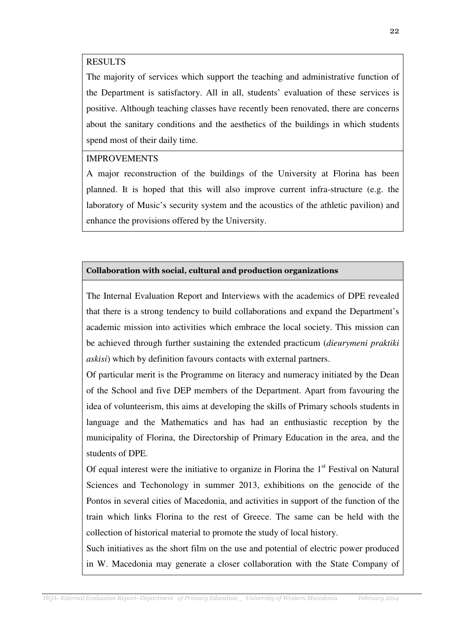#### RESULTS

The majority of services which support the teaching and administrative function of the Department is satisfactory. All in all, students' evaluation of these services is positive. Although teaching classes have recently been renovated, there are concerns about the sanitary conditions and the aesthetics of the buildings in which students spend most of their daily time.

#### IMPROVEMENTS

A major reconstruction of the buildings of the University at Florina has been planned. It is hoped that this will also improve current infra-structure (e.g. the laboratory of Music's security system and the acoustics of the athletic pavilion) and enhance the provisions offered by the University.

#### Collaboration with social, cultural and production organizations

The Internal Evaluation Report and Interviews with the academics of DPE revealed that there is a strong tendency to build collaborations and expand the Department's academic mission into activities which embrace the local society. This mission can be achieved through further sustaining the extended practicum (*dieurymeni praktiki askisi*) which by definition favours contacts with external partners.

Of particular merit is the Programme on literacy and numeracy initiated by the Dean of the School and five DEP members of the Department. Apart from favouring the idea of volunteerism, this aims at developing the skills of Primary schools students in language and the Mathematics and has had an enthusiastic reception by the municipality of Florina, the Directorship of Primary Education in the area, and the students of DPE.

Of equal interest were the initiative to organize in Florina the  $1<sup>st</sup>$  Festival on Natural Sciences and Techonology in summer 2013, exhibitions on the genocide of the Pontos in several cities of Macedonia, and activities in support of the function of the train which links Florina to the rest of Greece. The same can be held with the collection of historical material to promote the study of local history.

Such initiatives as the short film on the use and potential of electric power produced in W. Macedonia may generate a closer collaboration with the State Company of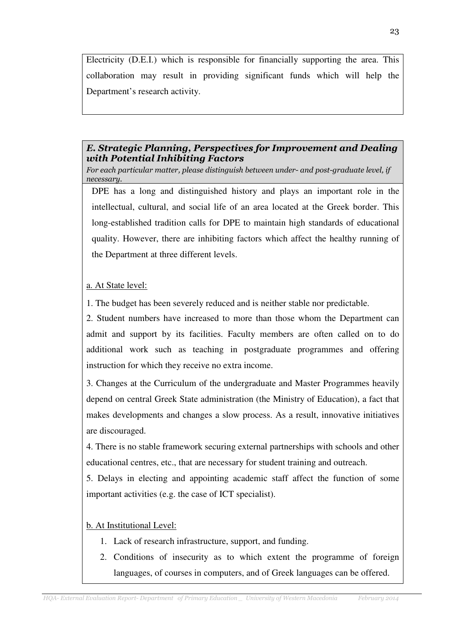Electricity (D.E.I.) which is responsible for financially supporting the area. This collaboration may result in providing significant funds which will help the Department's research activity.

## E. Strategic Planning, Perspectives for Improvement and Dealing with Potential Inhibiting Factors

For each particular matter, please distinguish between under- and post-graduate level, if necessary.

DPE has a long and distinguished history and plays an important role in the intellectual, cultural, and social life of an area located at the Greek border. This long-established tradition calls for DPE to maintain high standards of educational quality. However, there are inhibiting factors which affect the healthy running of the Department at three different levels.

### a. At State level:

1. The budget has been severely reduced and is neither stable nor predictable.

2. Student numbers have increased to more than those whom the Department can admit and support by its facilities. Faculty members are often called on to do additional work such as teaching in postgraduate programmes and offering instruction for which they receive no extra income.

3. Changes at the Curriculum of the undergraduate and Master Programmes heavily depend on central Greek State administration (the Ministry of Education), a fact that makes developments and changes a slow process. As a result, innovative initiatives are discouraged.

4. There is no stable framework securing external partnerships with schools and other educational centres, etc., that are necessary for student training and outreach.

5. Delays in electing and appointing academic staff affect the function of some important activities (e.g. the case of ICT specialist).

## b. At Institutional Level:

- 1. Lack of research infrastructure, support, and funding.
- 2. Conditions of insecurity as to which extent the programme of foreign languages, of courses in computers, and of Greek languages can be offered.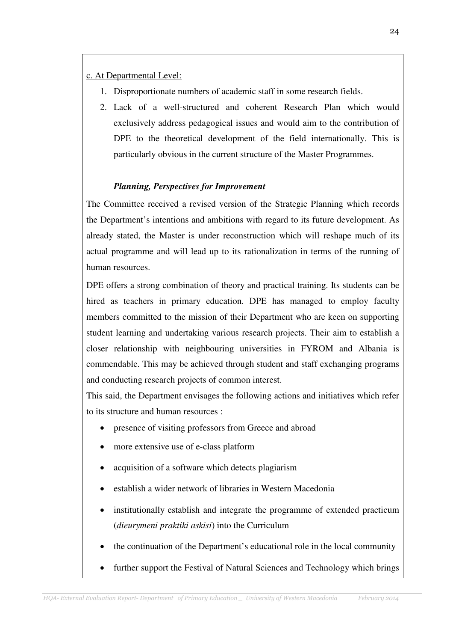c. At Departmental Level:

- 1. Disproportionate numbers of academic staff in some research fields.
- 2. Lack of a well-structured and coherent Research Plan which would exclusively address pedagogical issues and would aim to the contribution of DPE to the theoretical development of the field internationally. This is particularly obvious in the current structure of the Master Programmes.

# *Planning, Perspectives for Improvement*

The Committee received a revised version of the Strategic Planning which records the Department's intentions and ambitions with regard to its future development. As already stated, the Master is under reconstruction which will reshape much of its actual programme and will lead up to its rationalization in terms of the running of human resources.

DPE offers a strong combination of theory and practical training. Its students can be hired as teachers in primary education. DPE has managed to employ faculty members committed to the mission of their Department who are keen on supporting student learning and undertaking various research projects. Their aim to establish a closer relationship with neighbouring universities in FYROM and Albania is commendable. This may be achieved through student and staff exchanging programs and conducting research projects of common interest.

This said, the Department envisages the following actions and initiatives which refer to its structure and human resources :

- presence of visiting professors from Greece and abroad
- more extensive use of e-class platform
- acquisition of a software which detects plagiarism
- establish a wider network of libraries in Western Macedonia
- institutionally establish and integrate the programme of extended practicum (*dieurymeni praktiki askisi*) into the Curriculum
- the continuation of the Department's educational role in the local community
- further support the Festival of Natural Sciences and Technology which brings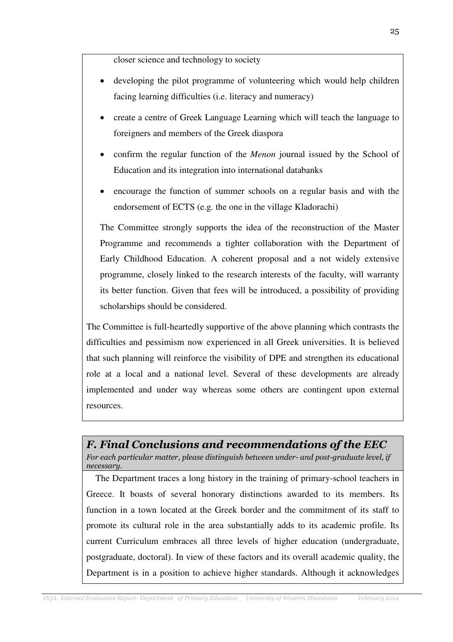closer science and technology to society

- developing the pilot programme of volunteering which would help children facing learning difficulties (i.e. literacy and numeracy)
- create a centre of Greek Language Learning which will teach the language to foreigners and members of the Greek diaspora
- confirm the regular function of the *Menon* journal issued by the School of Education and its integration into international databanks
- encourage the function of summer schools on a regular basis and with the endorsement of ECTS (e.g. the one in the village Kladorachi)

The Committee strongly supports the idea of the reconstruction of the Master Programme and recommends a tighter collaboration with the Department of Early Childhood Education. A coherent proposal and a not widely extensive programme, closely linked to the research interests of the faculty, will warranty its better function. Given that fees will be introduced, a possibility of providing scholarships should be considered.

The Committee is full-heartedly supportive of the above planning which contrasts the difficulties and pessimism now experienced in all Greek universities. It is believed that such planning will reinforce the visibility of DPE and strengthen its educational role at a local and a national level. Several of these developments are already implemented and under way whereas some others are contingent upon external resources.

# F. Final Conclusions and recommendations of the EEC

For each particular matter, please distinguish between under- and post-graduate level, if necessary.

 The Department traces a long history in the training of primary-school teachers in Greece. It boasts of several honorary distinctions awarded to its members. Its function in a town located at the Greek border and the commitment of its staff to promote its cultural role in the area substantially adds to its academic profile. Its current Curriculum embraces all three levels of higher education (undergraduate, postgraduate, doctoral). In view of these factors and its overall academic quality, the Department is in a position to achieve higher standards. Although it acknowledges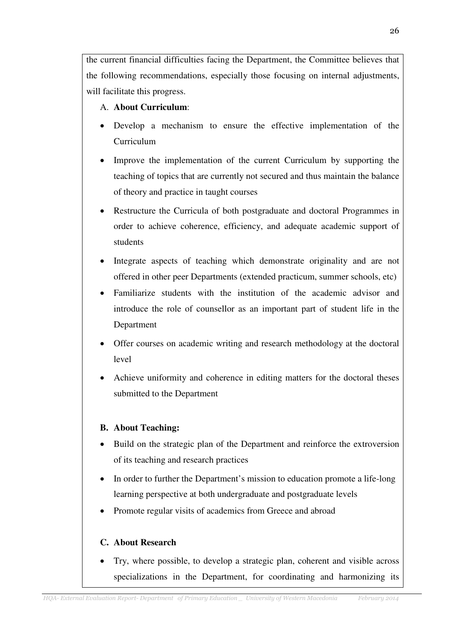the current financial difficulties facing the Department, the Committee believes that the following recommendations, especially those focusing on internal adjustments, will facilitate this progress.

# A. **About Curriculum**:

- Develop a mechanism to ensure the effective implementation of the Curriculum
- Improve the implementation of the current Curriculum by supporting the teaching of topics that are currently not secured and thus maintain the balance of theory and practice in taught courses
- Restructure the Curricula of both postgraduate and doctoral Programmes in order to achieve coherence, efficiency, and adequate academic support of students
- Integrate aspects of teaching which demonstrate originality and are not offered in other peer Departments (extended practicum, summer schools, etc)
- Familiarize students with the institution of the academic advisor and introduce the role of counsellor as an important part of student life in the Department
- Offer courses on academic writing and research methodology at the doctoral level
- Achieve uniformity and coherence in editing matters for the doctoral theses submitted to the Department

# **B. About Teaching:**

- Build on the strategic plan of the Department and reinforce the extroversion of its teaching and research practices
- In order to further the Department's mission to education promote a life-long learning perspective at both undergraduate and postgraduate levels
- Promote regular visits of academics from Greece and abroad

# **C. About Research**

• Try, where possible, to develop a strategic plan, coherent and visible across specializations in the Department, for coordinating and harmonizing its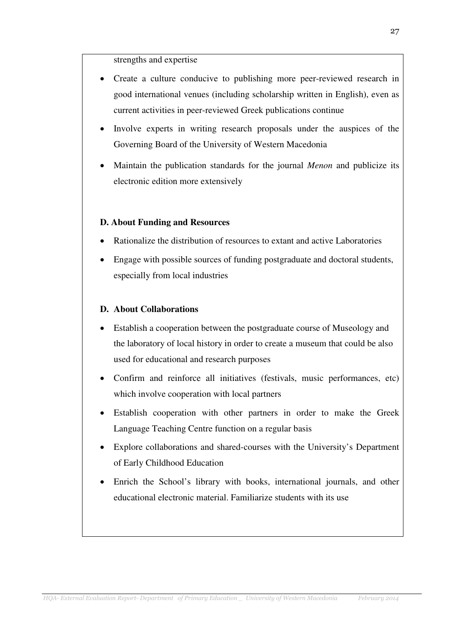strengths and expertise

- Create a culture conducive to publishing more peer-reviewed research in good international venues (including scholarship written in English), even as current activities in peer-reviewed Greek publications continue
- Involve experts in writing research proposals under the auspices of the Governing Board of the University of Western Macedonia
- Maintain the publication standards for the journal *Menon* and publicize its electronic edition more extensively

### **D. About Funding and Resources**

- Rationalize the distribution of resources to extant and active Laboratories
- Engage with possible sources of funding postgraduate and doctoral students, especially from local industries

#### **D. About Collaborations**

- Establish a cooperation between the postgraduate course of Museology and the laboratory of local history in order to create a museum that could be also used for educational and research purposes
- Confirm and reinforce all initiatives (festivals, music performances, etc) which involve cooperation with local partners
- Establish cooperation with other partners in order to make the Greek Language Teaching Centre function on a regular basis
- Explore collaborations and shared-courses with the University's Department of Early Childhood Education
- Enrich the School's library with books, international journals, and other educational electronic material. Familiarize students with its use